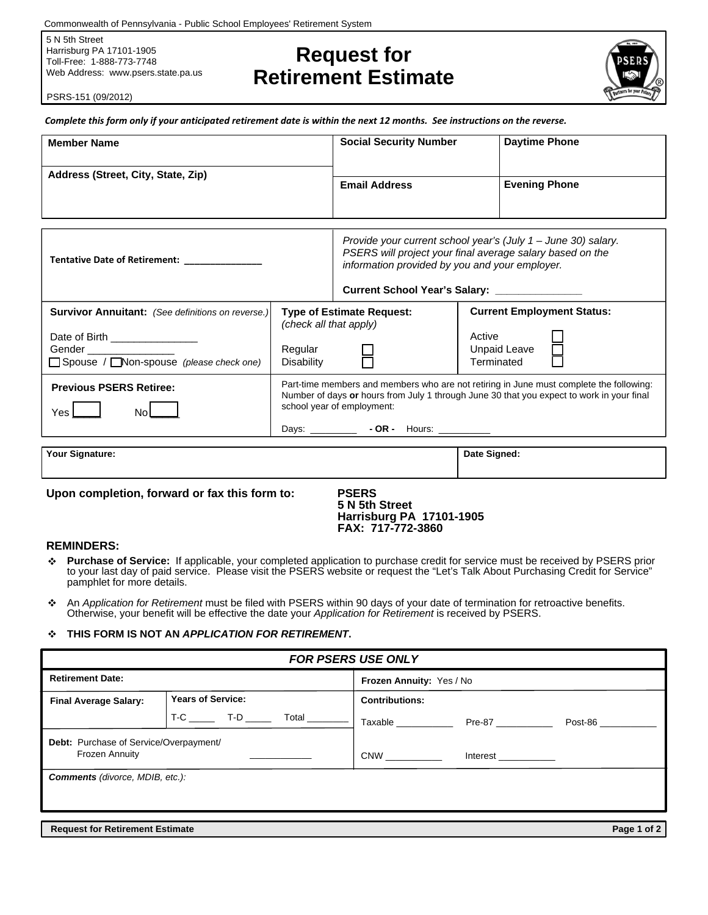Commonwealth of Pennsylvania - Public School Employees' Retirement System

5 N 5th Street Harrisburg PA 17101-1905 Toll-Free: 1-888-773-7748 Web Address: www.psers.state.pa.us

# **Retirement Estimate Request for**

*Complete this form only if your anticipated retirement date is within the next 12 months. See instructions on the reverse.*



PSRS-151 (09/2012)

| <b>Member Name</b>                                                                                                                                                   |                                                                                                                                                                                                                                                                           | <b>Social Security Number</b>                                                                                                                                                                                                                      |                      | <b>Daytime Phone</b>                                     |
|----------------------------------------------------------------------------------------------------------------------------------------------------------------------|---------------------------------------------------------------------------------------------------------------------------------------------------------------------------------------------------------------------------------------------------------------------------|----------------------------------------------------------------------------------------------------------------------------------------------------------------------------------------------------------------------------------------------------|----------------------|----------------------------------------------------------|
| Address (Street, City, State, Zip)                                                                                                                                   |                                                                                                                                                                                                                                                                           | <b>Email Address</b>                                                                                                                                                                                                                               |                      | <b>Evening Phone</b>                                     |
| Tentative Date of Retirement: ____________                                                                                                                           |                                                                                                                                                                                                                                                                           | Provide your current school year's (July 1 - June 30) salary.<br>PSERS will project your final average salary based on the<br>information provided by you and your employer.<br><b>Current School Year's Salary:</b> Current School Year's Salary: |                      |                                                          |
| <b>Survivor Annuitant:</b> (See definitions on reverse.)<br>Date of Birth _________________<br>Gender ________________<br>□ Spouse / □ Non-spouse (please check one) | (check all that apply)<br>Regular<br>Disability                                                                                                                                                                                                                           | <b>Type of Estimate Request:</b>                                                                                                                                                                                                                   | Active<br>Terminated | <b>Current Employment Status:</b><br><b>Unpaid Leave</b> |
| <b>Previous PSERS Retiree:</b><br>$Yes$ $\Box$<br>Nol                                                                                                                | Part-time members and members who are not retiring in June must complete the following:<br>Number of days or hours from July 1 through June 30 that you expect to work in your final<br>school year of employment:<br>Days: _________________ - OR - Hours: _____________ |                                                                                                                                                                                                                                                    |                      |                                                          |
| Your Signature:                                                                                                                                                      |                                                                                                                                                                                                                                                                           |                                                                                                                                                                                                                                                    | Date Signed:         |                                                          |
| Upon completion, forward or fax this form to:<br><b>PSERS</b>                                                                                                        |                                                                                                                                                                                                                                                                           |                                                                                                                                                                                                                                                    |                      |                                                          |

**5 N 5th Street Harrisburg PA 17101-1905 FAX: 717-772-3860**

### **REMINDERS:**

- $\cdot$ **Purchase of Service:** If applicable, your completed application to purchase credit for service must be received by PSERS prior to your last day of paid service. Please visit the PSERS website or request the "Let's Talk About Purchasing Credit for Service" pamphlet for more details.
- An *Application for Retirement* must be filed with PSERS within 90 days of your date of termination for retroactive benefits. Otherwise, your benefit will be effective the date your *Application for Retirement* is received by PSERS.

#### $\mathcal{L}$ **THIS FORM IS NOT AN** *APPLICATION FOR RETIREMENT***.**

| <b>FOR PSERS USE ONLY</b>                                       |                          |                                                       |  |  |  |
|-----------------------------------------------------------------|--------------------------|-------------------------------------------------------|--|--|--|
| <b>Retirement Date:</b>                                         |                          | Frozen Annuity: Yes / No                              |  |  |  |
| <b>Final Average Salary:</b>                                    | <b>Years of Service:</b> | <b>Contributions:</b>                                 |  |  |  |
|                                                                 |                          | Taxable ____________<br>Pre-87 ___________<br>Post-86 |  |  |  |
| Debt: Purchase of Service/Overpayment/<br><b>Frozen Annuity</b> |                          | <b>CNW</b><br>Interest ____________                   |  |  |  |
| <b>Comments</b> (divorce, MDIB, etc.):                          |                          |                                                       |  |  |  |
|                                                                 |                          |                                                       |  |  |  |
| <b>Request for Retirement Estimate</b>                          |                          | Page 1 of 2                                           |  |  |  |